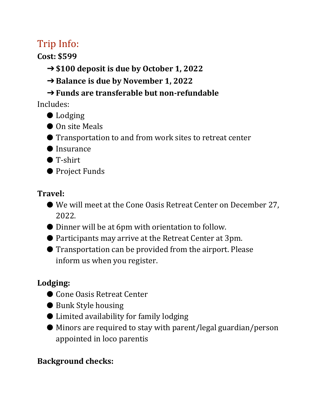# Trip Info:

**Cost: \$599** 

- ➔**\$100 deposit is due by October 1, 2022**
- ➔**Balance is due by November 1, 2022**

## ➔**Funds are transferable but non-refundable**

Includes:

- Lodging
- On site Meals
- Transportation to and from work sites to retreat center
- Insurance
- T-shirt
- Project Funds

### **Travel:**

- We will meet at the Cone Oasis Retreat Center on December 27, 2022.
- Dinner will be at 6pm with orientation to follow.
- Participants may arrive at the Retreat Center at 3pm.
- Transportation can be provided from the airport. Please inform us when you register.

## **Lodging:**

- Cone Oasis Retreat Center
- Bunk Style housing
- Limited availability for family lodging
- Minors are required to stay with parent/legal guardian/person appointed in loco parentis

#### **Background checks:**